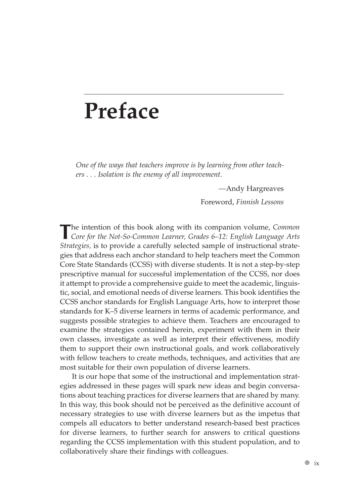## **Preface**

*One of the ways that teachers improve is by learning from other teachers . . . Isolation is the enemy of all improvement.*

*—*Andy Hargreaves

Foreword, *Finnish Lessons*

**T**he intention of this book along with its companion volume, *Common Core for the Not-So-Common Learner, Grades 6–12: English Language Arts Strategies,* is to provide a carefully selected sample of instructional strategies that address each anchor standard to help teachers meet the Common Core State Standards (CCSS) with diverse students. It is not a step-by-step prescriptive manual for successful implementation of the CCSS, nor does it attempt to provide a comprehensive guide to meet the academic, linguistic, social, and emotional needs of diverse learners. This book identifies the CCSS anchor standards for English Language Arts, how to interpret those standards for K–5 diverse learners in terms of academic performance, and suggests possible strategies to achieve them. Teachers are encouraged to examine the strategies contained herein, experiment with them in their own classes, investigate as well as interpret their effectiveness, modify them to support their own instructional goals, and work collaboratively with fellow teachers to create methods, techniques, and activities that are most suitable for their own population of diverse learners.

It is our hope that some of the instructional and implementation strategies addressed in these pages will spark new ideas and begin conversations about teaching practices for diverse learners that are shared by many. In this way, this book should not be perceived as the definitive account of necessary strategies to use with diverse learners but as the impetus that compels all educators to better understand research-based best practices for diverse learners, to further search for answers to critical questions regarding the CCSS implementation with this student population, and to collaboratively share their findings with colleagues.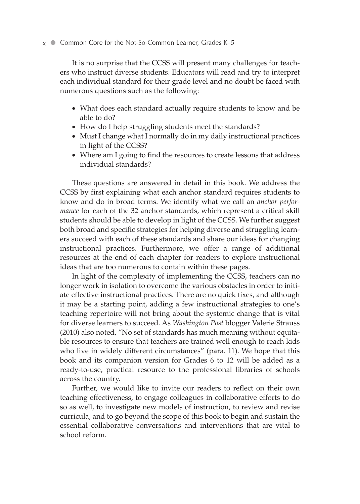## $x$  ● Common Core for the Not-So-Common Learner, Grades K–5

It is no surprise that the CCSS will present many challenges for teachers who instruct diverse students. Educators will read and try to interpret each individual standard for their grade level and no doubt be faced with numerous questions such as the following:

- What does each standard actually require students to know and be able to do?
- How do I help struggling students meet the standards?
- Must I change what I normally do in my daily instructional practices in light of the CCSS?
- Where am I going to find the resources to create lessons that address individual standards?

These questions are answered in detail in this book. We address the CCSS by first explaining what each anchor standard requires students to know and do in broad terms. We identify what we call an *anchor performance* for each of the 32 anchor standards, which represent a critical skill students should be able to develop in light of the CCSS. We further suggest both broad and specific strategies for helping diverse and struggling learners succeed with each of these standards and share our ideas for changing instructional practices. Furthermore, we offer a range of additional resources at the end of each chapter for readers to explore instructional ideas that are too numerous to contain within these pages.

In light of the complexity of implementing the CCSS, teachers can no longer work in isolation to overcome the various obstacles in order to initiate effective instructional practices. There are no quick fixes, and although it may be a starting point, adding a few instructional strategies to one's teaching repertoire will not bring about the systemic change that is vital for diverse learners to succeed. As *Washington Post* blogger Valerie Strauss (2010) also noted, "No set of standards has much meaning without equitable resources to ensure that teachers are trained well enough to reach kids who live in widely different circumstances" (para. 11). We hope that this book and its companion version for Grades 6 to 12 will be added as a ready-to-use, practical resource to the professional libraries of schools across the country.

Further, we would like to invite our readers to reflect on their own teaching effectiveness, to engage colleagues in collaborative efforts to do so as well, to investigate new models of instruction, to review and revise curricula, and to go beyond the scope of this book to begin and sustain the essential collaborative conversations and interventions that are vital to school reform.